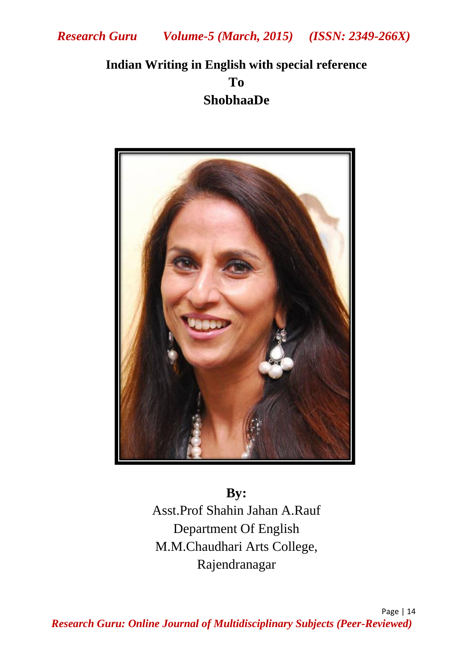# **Indian Writing in English with special reference To ShobhaaDe**



**By:** Asst.Prof Shahin Jahan A.Rauf Department Of English M.M.Chaudhari Arts College, Rajendranagar

Page | 14 *Research Guru: Online Journal of Multidisciplinary Subjects (Peer-Reviewed)*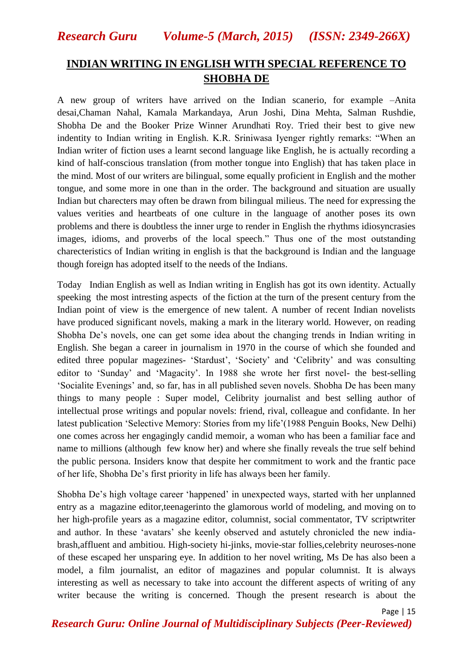*Research Guru Volume-5 (March, 2015) (ISSN: 2349-266X)*

#### **INDIAN WRITING IN ENGLISH WITH SPECIAL REFERENCE TO SHOBHA DE**

A new group of writers have arrived on the Indian scanerio, for example –Anita desai,Chaman Nahal, Kamala Markandaya, Arun Joshi, Dina Mehta, Salman Rushdie, Shobha De and the Booker Prize Winner Arundhati Roy. Tried their best to give new indentity to Indian writing in English. K.R. Sriniwasa Iyenger rightly remarks: "When an Indian writer of fiction uses a learnt second language like English, he is actually recording a kind of half-conscious translation (from mother tongue into English) that has taken place in the mind. Most of our writers are bilingual, some equally proficient in English and the mother tongue, and some more in one than in the order. The background and situation are usually Indian but charecters may often be drawn from bilingual milieus. The need for expressing the values verities and heartbeats of one culture in the language of another poses its own problems and there is doubtless the inner urge to render in English the rhythms idiosyncrasies images, idioms, and proverbs of the local speech." Thus one of the most outstanding charecteristics of Indian writing in english is that the background is Indian and the language though foreign has adopted itself to the needs of the Indians.

Today Indian English as well as Indian writing in English has got its own identity. Actually speeking the most intresting aspects of the fiction at the turn of the present century from the Indian point of view is the emergence of new talent. A number of recent Indian novelists have produced significant novels, making a mark in the literary world. However, on reading Shobha De"s novels, one can get some idea about the changing trends in Indian writing in English. She began a career in journalism in 1970 in the course of which she founded and edited three popular magezines- 'Stardust', 'Society' and 'Celibrity' and was consulting editor to "Sunday" and "Magacity". In 1988 she wrote her first novel- the best-selling "Socialite Evenings" and, so far, has in all published seven novels. Shobha De has been many things to many people : Super model, Celibrity journalist and best selling author of intellectual prose writings and popular novels: friend, rival, colleague and confidante. In her latest publication 'Selective Memory: Stories from my life' (1988 Penguin Books, New Delhi) one comes across her engagingly candid memoir, a woman who has been a familiar face and name to millions (although few know her) and where she finally reveals the true self behind the public persona. Insiders know that despite her commitment to work and the frantic pace of her life, Shobha De"s first priority in life has always been her family.

Shobha De"s high voltage career "happened" in unexpected ways, started with her unplanned entry as a magazine editor,teenagerinto the glamorous world of modeling, and moving on to her high-profile years as a magazine editor, columnist, social commentator, TV scriptwriter and author. In these 'avatars' she keenly observed and astutely chronicled the new indiabrash,affluent and ambitiou. High-society hi-jinks, movie-star follies,celebrity neuroses-none of these escaped her unsparing eye. In addition to her novel writing, Ms De has also been a model, a film journalist, an editor of magazines and popular columnist. It is always interesting as well as necessary to take into account the different aspects of writing of any writer because the writing is concerned. Though the present research is about the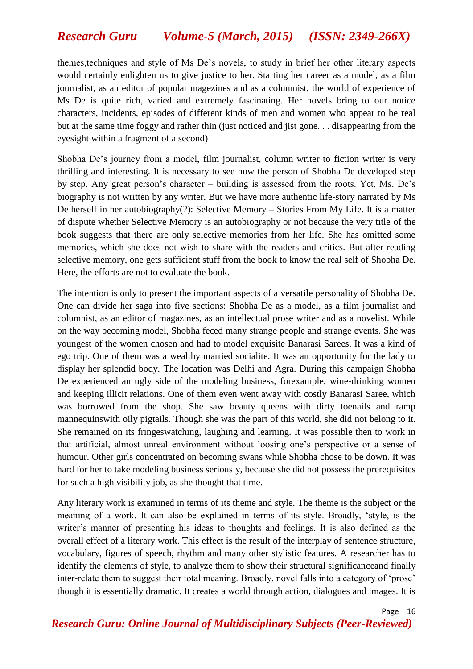## *Research Guru Volume-5 (March, 2015) (ISSN: 2349-266X)*

themes,techniques and style of Ms De"s novels, to study in brief her other literary aspects would certainly enlighten us to give justice to her. Starting her career as a model, as a film journalist, as an editor of popular magezines and as a columnist, the world of experience of Ms De is quite rich, varied and extremely fascinating. Her novels bring to our notice characters, incidents, episodes of different kinds of men and women who appear to be real but at the same time foggy and rather thin (just noticed and jist gone. . . disappearing from the eyesight within a fragment of a second)

Shobha De"s journey from a model, film journalist, column writer to fiction writer is very thrilling and interesting. It is necessary to see how the person of Shobha De developed step by step. Any great person"s character – building is assessed from the roots. Yet, Ms. De"s biography is not written by any writer. But we have more authentic life-story narrated by Ms De herself in her autobiography(?): Selective Memory – Stories From My Life. It is a matter of dispute whether Selective Memory is an autobiography or not because the very title of the book suggests that there are only selective memories from her life. She has omitted some memories, which she does not wish to share with the readers and critics. But after reading selective memory, one gets sufficient stuff from the book to know the real self of Shobha De. Here, the efforts are not to evaluate the book.

The intention is only to present the important aspects of a versatile personality of Shobha De. One can divide her saga into five sections: Shobha De as a model, as a film journalist and columnist, as an editor of magazines, as an intellectual prose writer and as a novelist. While on the way becoming model, Shobha feced many strange people and strange events. She was youngest of the women chosen and had to model exquisite Banarasi Sarees. It was a kind of ego trip. One of them was a wealthy married socialite. It was an opportunity for the lady to display her splendid body. The location was Delhi and Agra. During this campaign Shobha De experienced an ugly side of the modeling business, forexample, wine-drinking women and keeping illicit relations. One of them even went away with costly Banarasi Saree, which was borrowed from the shop. She saw beauty queens with dirty toenails and ramp mannequinswith oily pigtails. Though she was the part of this world, she did not belong to it. She remained on its fringeswatching, laughing and learning. It was possible then to work in that artificial, almost unreal environment without loosing one"s perspective or a sense of humour. Other girls concentrated on becoming swans while Shobha chose to be down. It was hard for her to take modeling business seriously, because she did not possess the prerequisites for such a high visibility job, as she thought that time.

Any literary work is examined in terms of its theme and style. The theme is the subject or the meaning of a work. It can also be explained in terms of its style. Broadly, "style, is the writer's manner of presenting his ideas to thoughts and feelings. It is also defined as the overall effect of a literary work. This effect is the result of the interplay of sentence structure, vocabulary, figures of speech, rhythm and many other stylistic features. A researcher has to identify the elements of style, to analyze them to show their structural significanceand finally inter-relate them to suggest their total meaning. Broadly, novel falls into a category of "prose" though it is essentially dramatic. It creates a world through action, dialogues and images. It is